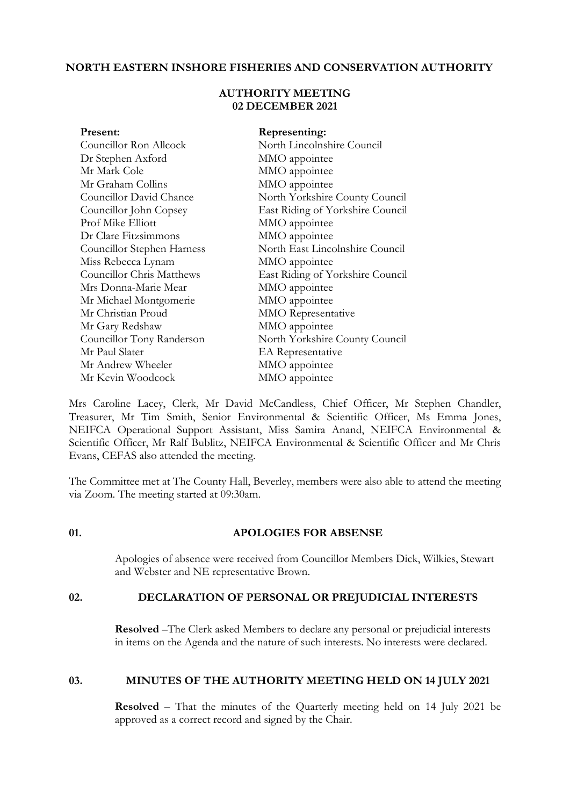# **NORTH EASTERN INSHORE FISHERIES AND CONSERVATION AUTHORITY**

# **AUTHORITY MEETING 02 DECEMBER 2021**

| Present:                         | Representing:                    |
|----------------------------------|----------------------------------|
| Councillor Ron Allcock           | North Lincolnshire Council       |
| Dr Stephen Axford                | MMO appointee                    |
| Mr Mark Cole                     | MMO appointee                    |
| Mr Graham Collins                | MMO appointee                    |
| Councillor David Chance          | North Yorkshire County Council   |
| Councillor John Copsey           | East Riding of Yorkshire Council |
| Prof Mike Elliott                | MMO appointee                    |
| Dr Clare Fitzsimmons             | MMO appointee                    |
| Councillor Stephen Harness       | North East Lincolnshire Council  |
| Miss Rebecca Lynam               | MMO appointee                    |
| <b>Councillor Chris Matthews</b> | East Riding of Yorkshire Council |
| Mrs Donna-Marie Mear             | MMO appointee                    |
| Mr Michael Montgomerie           | MMO appointee                    |
| Mr Christian Proud               | <b>MMO</b> Representative        |
| Mr Gary Redshaw                  | MMO appointee                    |
| Councillor Tony Randerson        | North Yorkshire County Council   |
| Mr Paul Slater                   | EA Representative                |
| Mr Andrew Wheeler                | MMO appointee                    |
| Mr Kevin Woodcock                | MMO appointee                    |
|                                  |                                  |

Mrs Caroline Lacey, Clerk, Mr David McCandless, Chief Officer, Mr Stephen Chandler, Treasurer, Mr Tim Smith, Senior Environmental & Scientific Officer, Ms Emma Jones, NEIFCA Operational Support Assistant, Miss Samira Anand, NEIFCA Environmental & Scientific Officer, Mr Ralf Bublitz, NEIFCA Environmental & Scientific Officer and Mr Chris Evans, CEFAS also attended the meeting.

The Committee met at The County Hall, Beverley, members were also able to attend the meeting via Zoom. The meeting started at 09:30am.

## **01. APOLOGIES FOR ABSENSE**

Apologies of absence were received from Councillor Members Dick, Wilkies, Stewart and Webster and NE representative Brown.

## **02. DECLARATION OF PERSONAL OR PREJUDICIAL INTERESTS**

**Resolved** –The Clerk asked Members to declare any personal or prejudicial interests in items on the Agenda and the nature of such interests. No interests were declared.

## **03. MINUTES OF THE AUTHORITY MEETING HELD ON 14 JULY 2021**

**Resolved** – That the minutes of the Quarterly meeting held on 14 July 2021 be approved as a correct record and signed by the Chair.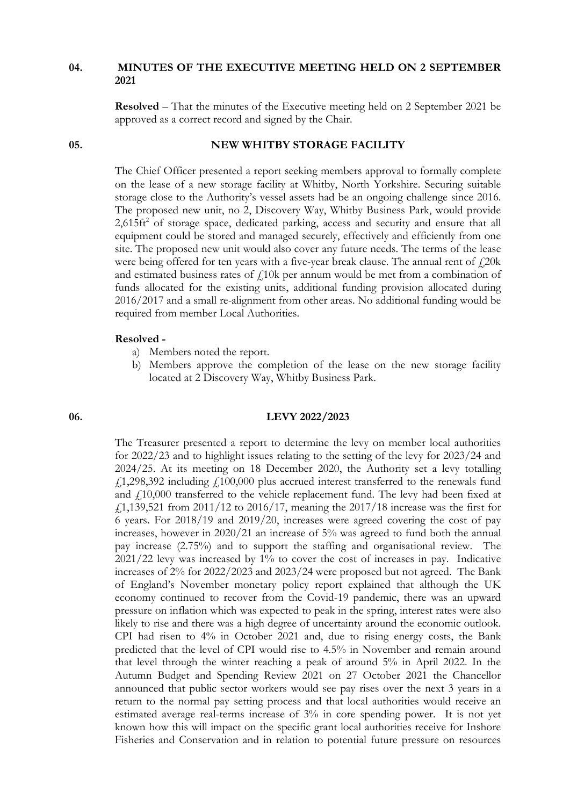## **04. MINUTES OF THE EXECUTIVE MEETING HELD ON 2 SEPTEMBER 2021**

**Resolved** – That the minutes of the Executive meeting held on 2 September 2021 be approved as a correct record and signed by the Chair.

## **05. NEW WHITBY STORAGE FACILITY**

The Chief Officer presented a report seeking members approval to formally complete on the lease of a new storage facility at Whitby, North Yorkshire. Securing suitable storage close to the Authority's vessel assets had be an ongoing challenge since 2016. The proposed new unit, no 2, Discovery Way, Whitby Business Park, would provide  $2,615$ ft<sup>2</sup> of storage space, dedicated parking, access and security and ensure that all equipment could be stored and managed securely, effectively and efficiently from one site. The proposed new unit would also cover any future needs. The terms of the lease were being offered for ten years with a five-year break clause. The annual rent of  $f$ 20k and estimated business rates of  $f$ 10k per annum would be met from a combination of funds allocated for the existing units, additional funding provision allocated during 2016/2017 and a small re-alignment from other areas. No additional funding would be required from member Local Authorities.

#### **Resolved -**

- a) Members noted the report.
- b) Members approve the completion of the lease on the new storage facility located at 2 Discovery Way, Whitby Business Park.

### **06. LEVY 2022/2023**

The Treasurer presented a report to determine the levy on member local authorities for 2022/23 and to highlight issues relating to the setting of the levy for 2023/24 and 2024/25. At its meeting on 18 December 2020, the Authority set a levy totalling  $f$ 1,298,392 including  $f$ 100,000 plus accrued interest transferred to the renewals fund and  $f<sub>1</sub>10,000$  transferred to the vehicle replacement fund. The levy had been fixed at £1,139,521 from 2011/12 to 2016/17, meaning the 2017/18 increase was the first for 6 years. For 2018/19 and 2019/20, increases were agreed covering the cost of pay increases, however in 2020/21 an increase of 5% was agreed to fund both the annual pay increase (2.75%) and to support the staffing and organisational review. The 2021/22 levy was increased by 1% to cover the cost of increases in pay. Indicative increases of 2% for 2022/2023 and 2023/24 were proposed but not agreed. The Bank of England's November monetary policy report explained that although the UK economy continued to recover from the Covid-19 pandemic, there was an upward pressure on inflation which was expected to peak in the spring, interest rates were also likely to rise and there was a high degree of uncertainty around the economic outlook. CPI had risen to 4% in October 2021 and, due to rising energy costs, the Bank predicted that the level of CPI would rise to 4.5% in November and remain around that level through the winter reaching a peak of around 5% in April 2022. In the Autumn Budget and Spending Review 2021 on 27 October 2021 the Chancellor announced that public sector workers would see pay rises over the next 3 years in a return to the normal pay setting process and that local authorities would receive an estimated average real-terms increase of 3% in core spending power. It is not yet known how this will impact on the specific grant local authorities receive for Inshore Fisheries and Conservation and in relation to potential future pressure on resources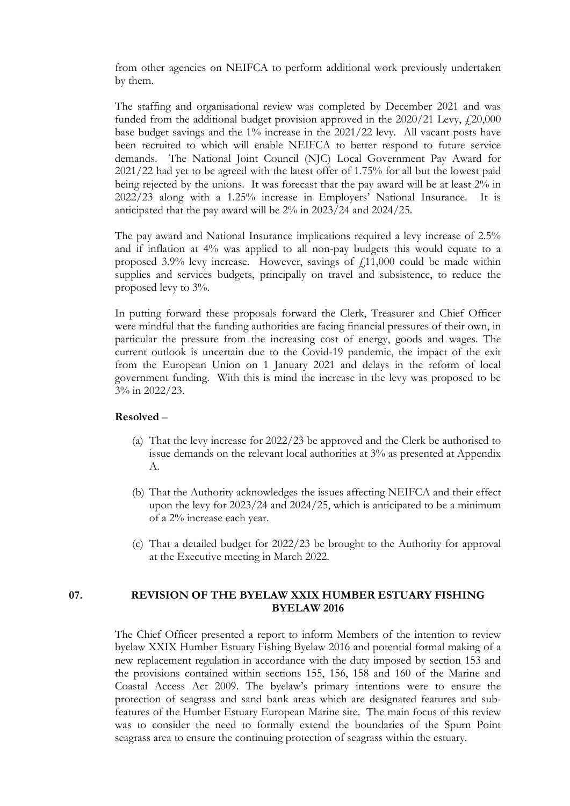from other agencies on NEIFCA to perform additional work previously undertaken by them.

The staffing and organisational review was completed by December 2021 and was funded from the additional budget provision approved in the  $2020/21$  Levy,  $\frac{1}{2}20,000$ base budget savings and the 1% increase in the 2021/22 levy. All vacant posts have been recruited to which will enable NEIFCA to better respond to future service demands. The National Joint Council (NJC) Local Government Pay Award for 2021/22 had yet to be agreed with the latest offer of 1.75% for all but the lowest paid being rejected by the unions. It was forecast that the pay award will be at least 2% in 2022/23 along with a 1.25% increase in Employers' National Insurance. It is anticipated that the pay award will be 2% in 2023/24 and 2024/25.

The pay award and National Insurance implications required a levy increase of 2.5% and if inflation at 4% was applied to all non-pay budgets this would equate to a proposed 3.9% levy increase. However, savings of  $f(11,000)$  could be made within supplies and services budgets, principally on travel and subsistence, to reduce the proposed levy to 3%.

In putting forward these proposals forward the Clerk, Treasurer and Chief Officer were mindful that the funding authorities are facing financial pressures of their own, in particular the pressure from the increasing cost of energy, goods and wages. The current outlook is uncertain due to the Covid-19 pandemic, the impact of the exit from the European Union on 1 January 2021 and delays in the reform of local government funding. With this is mind the increase in the levy was proposed to be 3% in 2022/23.

## **Resolved** –

- (a) That the levy increase for 2022/23 be approved and the Clerk be authorised to issue demands on the relevant local authorities at 3% as presented at Appendix A.
- (b) That the Authority acknowledges the issues affecting NEIFCA and their effect upon the levy for 2023/24 and 2024/25, which is anticipated to be a minimum of a 2% increase each year.
- (c) That a detailed budget for 2022/23 be brought to the Authority for approval at the Executive meeting in March 2022.

# **07. REVISION OF THE BYELAW XXIX HUMBER ESTUARY FISHING BYELAW 2016**

The Chief Officer presented a report to inform Members of the intention to review byelaw XXIX Humber Estuary Fishing Byelaw 2016 and potential formal making of a new replacement regulation in accordance with the duty imposed by section 153 and the provisions contained within sections 155, 156, 158 and 160 of the Marine and Coastal Access Act 2009. The byelaw's primary intentions were to ensure the protection of seagrass and sand bank areas which are designated features and subfeatures of the Humber Estuary European Marine site. The main focus of this review was to consider the need to formally extend the boundaries of the Spurn Point seagrass area to ensure the continuing protection of seagrass within the estuary.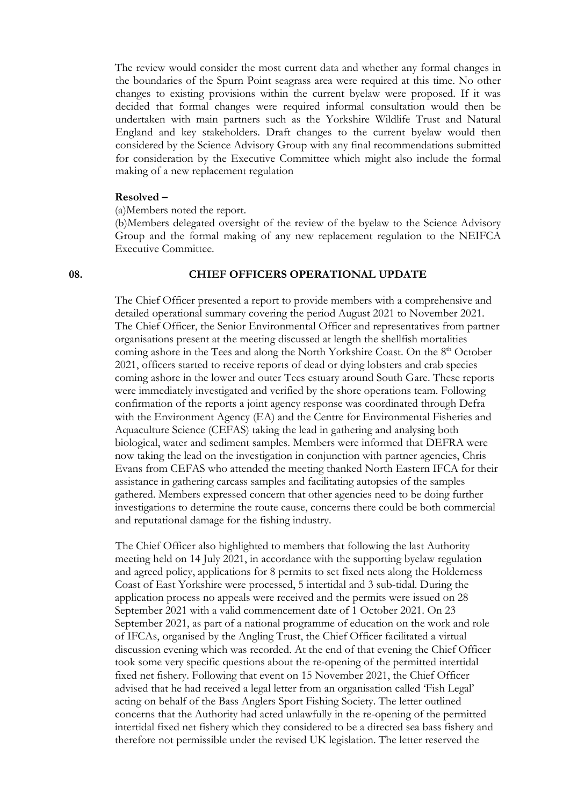The review would consider the most current data and whether any formal changes in the boundaries of the Spurn Point seagrass area were required at this time. No other changes to existing provisions within the current byelaw were proposed. If it was decided that formal changes were required informal consultation would then be undertaken with main partners such as the Yorkshire Wildlife Trust and Natural England and key stakeholders. Draft changes to the current byelaw would then considered by the Science Advisory Group with any final recommendations submitted for consideration by the Executive Committee which might also include the formal making of a new replacement regulation

### **Resolved –**

(a)Members noted the report.

(b)Members delegated oversight of the review of the byelaw to the Science Advisory Group and the formal making of any new replacement regulation to the NEIFCA Executive Committee.

#### **08. CHIEF OFFICERS OPERATIONAL UPDATE**

The Chief Officer presented a report to provide members with a comprehensive and detailed operational summary covering the period August 2021 to November 2021. The Chief Officer, the Senior Environmental Officer and representatives from partner organisations present at the meeting discussed at length the shellfish mortalities coming ashore in the Tees and along the North Yorkshire Coast. On the 8<sup>th</sup> October 2021, officers started to receive reports of dead or dying lobsters and crab species coming ashore in the lower and outer Tees estuary around South Gare. These reports were immediately investigated and verified by the shore operations team. Following confirmation of the reports a joint agency response was coordinated through Defra with the Environment Agency (EA) and the Centre for Environmental Fisheries and Aquaculture Science (CEFAS) taking the lead in gathering and analysing both biological, water and sediment samples. Members were informed that DEFRA were now taking the lead on the investigation in conjunction with partner agencies, Chris Evans from CEFAS who attended the meeting thanked North Eastern IFCA for their assistance in gathering carcass samples and facilitating autopsies of the samples gathered. Members expressed concern that other agencies need to be doing further investigations to determine the route cause, concerns there could be both commercial and reputational damage for the fishing industry.

The Chief Officer also highlighted to members that following the last Authority meeting held on 14 July 2021, in accordance with the supporting byelaw regulation and agreed policy, applications for 8 permits to set fixed nets along the Holderness Coast of East Yorkshire were processed, 5 intertidal and 3 sub-tidal. During the application process no appeals were received and the permits were issued on 28 September 2021 with a valid commencement date of 1 October 2021. On 23 September 2021, as part of a national programme of education on the work and role of IFCAs, organised by the Angling Trust, the Chief Officer facilitated a virtual discussion evening which was recorded. At the end of that evening the Chief Officer took some very specific questions about the re-opening of the permitted intertidal fixed net fishery. Following that event on 15 November 2021, the Chief Officer advised that he had received a legal letter from an organisation called 'Fish Legal' acting on behalf of the Bass Anglers Sport Fishing Society. The letter outlined concerns that the Authority had acted unlawfully in the re-opening of the permitted intertidal fixed net fishery which they considered to be a directed sea bass fishery and therefore not permissible under the revised UK legislation. The letter reserved the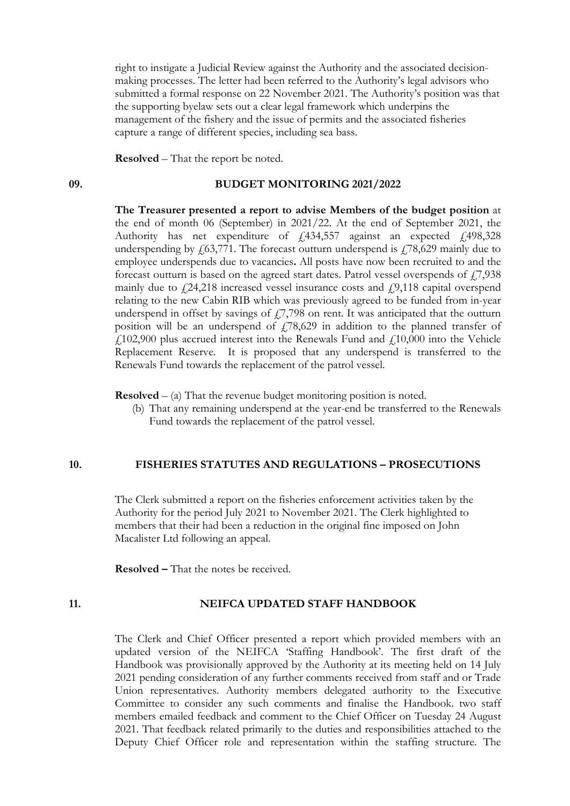right to instigate a Judicial Review against the Authority and the associated decisionmaking processes. The letter had been referred to the Authority's legal advisors who submitted a formal response on 22 November 2021. The Authority's position was that the supporting byelaw sets out a clear legal framework which underpins the management of the fishery and the issue of permits and the associated fisheries capture a range of different species, including sea bass.

**Resolved** – That the report be noted.

# **09. BUDGET MONITORING 2021/2022**

**The Treasurer presented a report to advise Members of the budget position** at the end of month 06 (September) in 2021/22. At the end of September 2021, the Authority has net expenditure of  $f$ , 434, 557 against an expected  $f$ , 498, 328 underspending by  $\frac{1}{63,771}$ . The forecast outturn underspend is  $\frac{1}{78,629}$  mainly due to employee underspends due to vacancies**.** All posts have now been recruited to and the forecast outturn is based on the agreed start dates. Patrol vessel overspends of  $\ddot{17}$ ,938 mainly due to  $f(24,218)$  increased vessel insurance costs and  $f(9,118)$  capital overspend relating to the new Cabin RIB which was previously agreed to be funded from in-year underspend in offset by savings of  $17,798$  on rent. It was anticipated that the outturn position will be an underspend of  $f(78,629)$  in addition to the planned transfer of  $f<sub>102,900</sub>$  plus accrued interest into the Renewals Fund and  $f<sub>10,000</sub>$  into the Vehicle Replacement Reserve. It is proposed that any underspend is transferred to the Renewals Fund towards the replacement of the patrol vessel.

**Resolved** – (a) That the revenue budget monitoring position is noted.

(b) That any remaining underspend at the year-end be transferred to the Renewals Fund towards the replacement of the patrol vessel.

#### **10. FISHERIES STATUTES AND REGULATIONS – PROSECUTIONS**

The Clerk submitted a report on the fisheries enforcement activities taken by the Authority for the period July 2021 to November 2021. The Clerk highlighted to members that their had been a reduction in the original fine imposed on John Macalister Ltd following an appeal.

**Resolved –** That the notes be received.

## **11. NEIFCA UPDATED STAFF HANDBOOK**

The Clerk and Chief Officer presented a report which provided members with an updated version of the NEIFCA 'Staffing Handbook'. The first draft of the Handbook was provisionally approved by the Authority at its meeting held on 14 July 2021 pending consideration of any further comments received from staff and or Trade Union representatives. Authority members delegated authority to the Executive Committee to consider any such comments and finalise the Handbook. two staff members emailed feedback and comment to the Chief Officer on Tuesday 24 August 2021. That feedback related primarily to the duties and responsibilities attached to the Deputy Chief Officer role and representation within the staffing structure. The